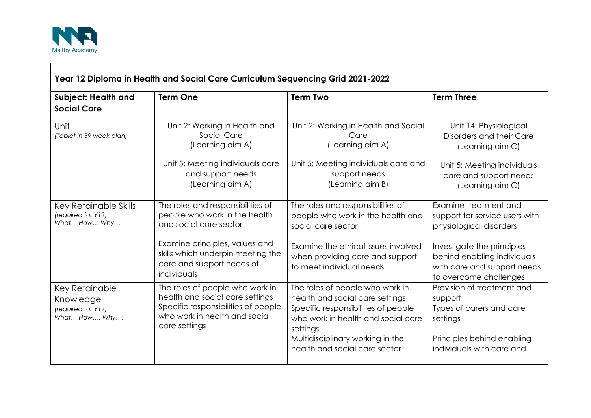

 $\Gamma$ 

| <b>Subject: Health and</b><br><b>Social Care</b>                  | <b>Term One</b>                                                                                                                                                                                                 | <b>Term Two</b>                                                                                                                                                                                                                  | <b>Term Three</b>                                                                                                                                                                                        |
|-------------------------------------------------------------------|-----------------------------------------------------------------------------------------------------------------------------------------------------------------------------------------------------------------|----------------------------------------------------------------------------------------------------------------------------------------------------------------------------------------------------------------------------------|----------------------------------------------------------------------------------------------------------------------------------------------------------------------------------------------------------|
| Unit<br>(Tablet in 39 week plan)                                  | Unit 2: Working in Health and<br>Social Care<br>(Learning aim A)<br>Unit 5: Meeting individuals care<br>and support needs<br>(Learning aim A)                                                                   | Unit 2: Working in Health and Social<br>Care<br>(Learning aim A)<br>Unit 5: Meeting individuals care and<br>support needs<br>(Learning aim B)                                                                                    | Unit 14: Physiological<br>Disorders and their Care<br>(Learning aim C)<br>Unit 5: Meeting individuals<br>care and support needs<br>(Learning aim C)                                                      |
| Key Retainable Skills<br>(required for Y12)<br>What How Why       | The roles and responsibilities of<br>people who work in the health<br>and social care sector<br>Examine principles, values and<br>skills which underpin meeting the<br>care and support needs of<br>individuals | The roles and responsibilities of<br>people who work in the health and<br>social care sector<br>Examine the ethical issues involved<br>when providing care and support<br>to meet individual needs                               | Examine treatment and<br>support for service users with<br>physiological disorders<br>Investigate the principles<br>behind enabling individuals<br>with care and support needs<br>to overcome challenges |
| Key Retainable<br>Knowledge<br>(required for Y12)<br>What How Why | The roles of people who work in<br>health and social care settings<br>Specific responsibilities of people<br>who work in health and social<br>care settings                                                     | The roles of people who work in<br>health and social care settings<br>Specific responsibilities of people<br>who work in health and social care<br>settings<br>Multidisciplinary working in the<br>health and social care sector | Provision of treatment and<br>support<br>Types of carers and care<br>settings<br>Principles behind enabling<br>individuals with care and                                                                 |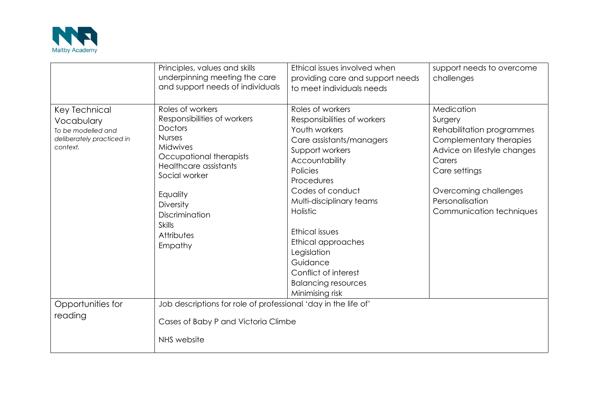

|                                                                                            | Principles, values and skills<br>underpinning meeting the care<br>and support needs of individuals                                                                                                                                                              | Ethical issues involved when<br>providing care and support needs<br>to meet individuals needs                                                                                                                                                                                                                                                                       | support needs to overcome<br>challenges                                                                                                                                                                         |
|--------------------------------------------------------------------------------------------|-----------------------------------------------------------------------------------------------------------------------------------------------------------------------------------------------------------------------------------------------------------------|---------------------------------------------------------------------------------------------------------------------------------------------------------------------------------------------------------------------------------------------------------------------------------------------------------------------------------------------------------------------|-----------------------------------------------------------------------------------------------------------------------------------------------------------------------------------------------------------------|
| Key Technical<br>Vocabulary<br>To be modelled and<br>deliberately practiced in<br>context. | Roles of workers<br>Responsibilities of workers<br><b>Doctors</b><br><b>Nurses</b><br>Midwives<br>Occupational therapists<br>Healthcare assistants<br>Social worker<br>Equality<br>Diversity<br><b>Discrimination</b><br><b>Skills</b><br>Attributes<br>Empathy | Roles of workers<br>Responsibilities of workers<br>Youth workers<br>Care assistants/managers<br>Support workers<br>Accountability<br>Policies<br>Procedures<br>Codes of conduct<br>Multi-disciplinary teams<br>Holistic<br>Ethical issues<br>Ethical approaches<br>Legislation<br>Guidance<br>Conflict of interest<br><b>Balancing resources</b><br>Minimising risk | Medication<br>Surgery<br>Rehabilitation programmes<br>Complementary therapies<br>Advice on lifestyle changes<br>Carers<br>Care settings<br>Overcoming challenges<br>Personalisation<br>Communication techniques |
| Opportunities for<br>reading                                                               | Job descriptions for role of professional 'day in the life of'<br>Cases of Baby P and Victoria Climbe<br>NHS website                                                                                                                                            |                                                                                                                                                                                                                                                                                                                                                                     |                                                                                                                                                                                                                 |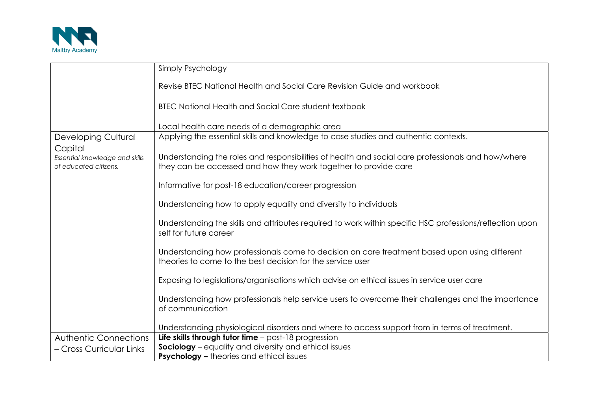

|                                                         | Simply Psychology                                                                                                                                           |  |
|---------------------------------------------------------|-------------------------------------------------------------------------------------------------------------------------------------------------------------|--|
|                                                         | Revise BTEC National Health and Social Care Revision Guide and workbook                                                                                     |  |
|                                                         | <b>BTEC National Health and Social Care student textbook</b>                                                                                                |  |
|                                                         | Local health care needs of a demographic area                                                                                                               |  |
| <b>Developing Cultural</b>                              | Applying the essential skills and knowledge to case studies and authentic contexts.                                                                         |  |
| Capital                                                 | Understanding the roles and responsibilities of health and social care professionals and how/where                                                          |  |
| Essential knowledge and skills<br>of educated citizens. | they can be accessed and how they work together to provide care                                                                                             |  |
|                                                         | Informative for post-18 education/career progression                                                                                                        |  |
|                                                         | Understanding how to apply equality and diversity to individuals                                                                                            |  |
|                                                         | Understanding the skills and attributes required to work within specific HSC professions/reflection upon<br>self for future career                          |  |
|                                                         | Understanding how professionals come to decision on care treatment based upon using different<br>theories to come to the best decision for the service user |  |
|                                                         | Exposing to legislations/organisations which advise on ethical issues in service user care                                                                  |  |
|                                                         | Understanding how professionals help service users to overcome their challenges and the importance<br>of communication                                      |  |
|                                                         | Understanding physiological disorders and where to access support from in terms of treatment.                                                               |  |
| <b>Authentic Connections</b>                            | Life skills through tutor time $-$ post-18 progression                                                                                                      |  |
| - Cross Curricular Links                                | Sociology - equality and diversity and ethical issues                                                                                                       |  |
|                                                         | <b>Psychology - theories and ethical issues</b>                                                                                                             |  |